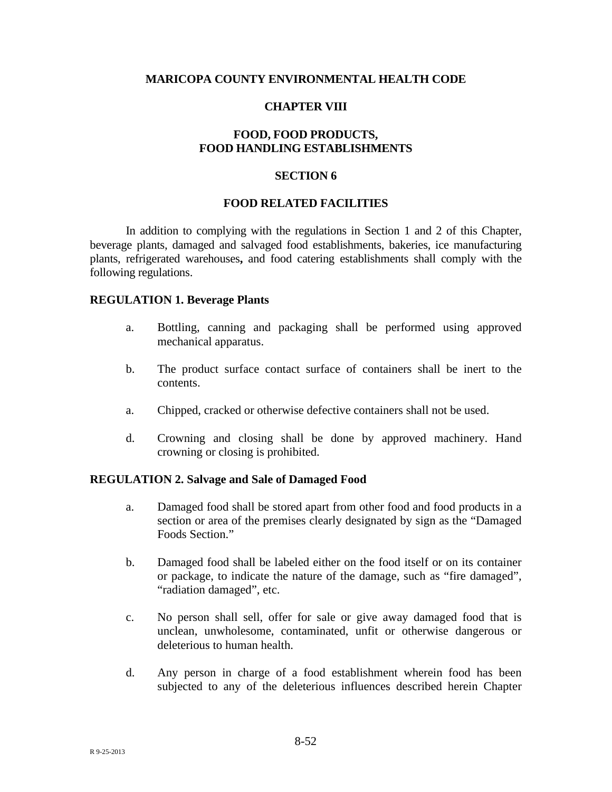### **MARICOPA COUNTY ENVIRONMENTAL HEALTH CODE**

### **CHAPTER VIII**

## **FOOD, FOOD PRODUCTS, FOOD HANDLING ESTABLISHMENTS**

## **SECTION 6**

### **FOOD RELATED FACILITIES**

In addition to complying with the regulations in Section 1 and 2 of this Chapter, beverage plants, damaged and salvaged food establishments, bakeries, ice manufacturing plants, refrigerated warehouses**,** and food catering establishments shall comply with the following regulations.

#### **REGULATION 1. Beverage Plants**

- a. Bottling, canning and packaging shall be performed using approved mechanical apparatus.
- b. The product surface contact surface of containers shall be inert to the contents.
- a. Chipped, cracked or otherwise defective containers shall not be used.
- d. Crowning and closing shall be done by approved machinery. Hand crowning or closing is prohibited.

#### **REGULATION 2. Salvage and Sale of Damaged Food**

- a. Damaged food shall be stored apart from other food and food products in a section or area of the premises clearly designated by sign as the "Damaged Foods Section."
- b. Damaged food shall be labeled either on the food itself or on its container or package, to indicate the nature of the damage, such as "fire damaged", "radiation damaged", etc.
- c. No person shall sell, offer for sale or give away damaged food that is unclean, unwholesome, contaminated, unfit or otherwise dangerous or deleterious to human health.
- d. Any person in charge of a food establishment wherein food has been subjected to any of the deleterious influences described herein Chapter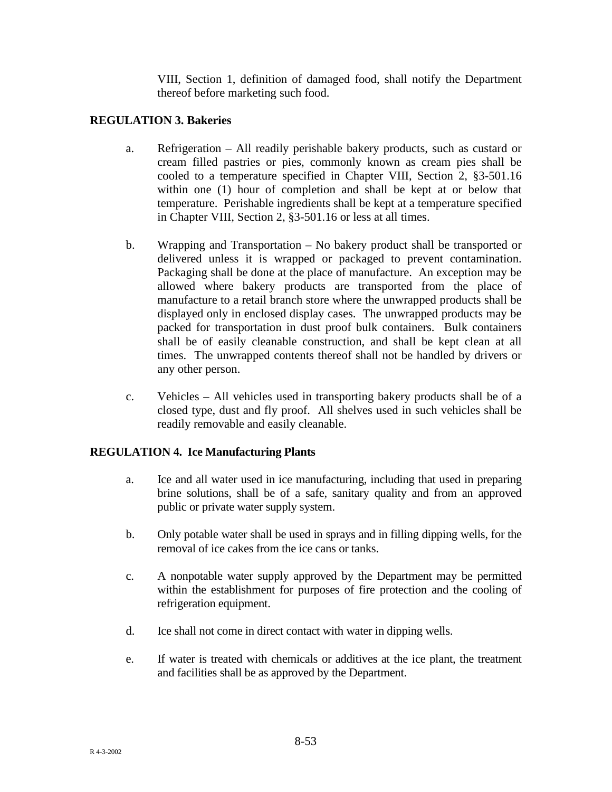VIII, Section 1, definition of damaged food, shall notify the Department thereof before marketing such food.

# **REGULATION 3. Bakeries**

- a. Refrigeration All readily perishable bakery products, such as custard or cream filled pastries or pies, commonly known as cream pies shall be cooled to a temperature specified in Chapter VIII, Section 2, §3-501.16 within one (1) hour of completion and shall be kept at or below that temperature. Perishable ingredients shall be kept at a temperature specified in Chapter VIII, Section 2, §3-501.16 or less at all times.
- b. Wrapping and Transportation No bakery product shall be transported or delivered unless it is wrapped or packaged to prevent contamination. Packaging shall be done at the place of manufacture. An exception may be allowed where bakery products are transported from the place of manufacture to a retail branch store where the unwrapped products shall be displayed only in enclosed display cases. The unwrapped products may be packed for transportation in dust proof bulk containers. Bulk containers shall be of easily cleanable construction, and shall be kept clean at all times. The unwrapped contents thereof shall not be handled by drivers or any other person.
- c. Vehicles All vehicles used in transporting bakery products shall be of a closed type, dust and fly proof. All shelves used in such vehicles shall be readily removable and easily cleanable.

# **REGULATION 4. Ice Manufacturing Plants**

- a. Ice and all water used in ice manufacturing, including that used in preparing brine solutions, shall be of a safe, sanitary quality and from an approved public or private water supply system.
- b. Only potable water shall be used in sprays and in filling dipping wells, for the removal of ice cakes from the ice cans or tanks.
- c. A nonpotable water supply approved by the Department may be permitted within the establishment for purposes of fire protection and the cooling of refrigeration equipment.
- d. Ice shall not come in direct contact with water in dipping wells.
- e. If water is treated with chemicals or additives at the ice plant, the treatment and facilities shall be as approved by the Department.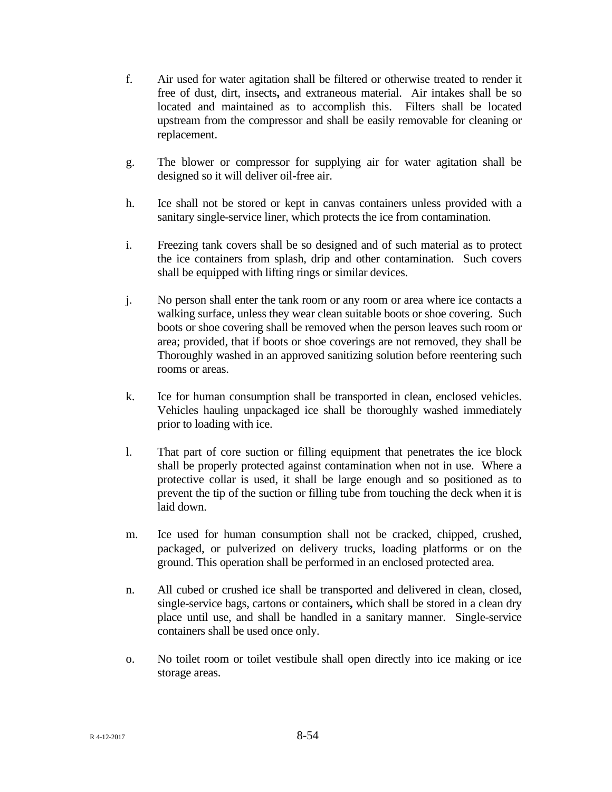- f. Air used for water agitation shall be filtered or otherwise treated to render it free of dust, dirt, insects**,** and extraneous material. Air intakes shall be so located and maintained as to accomplish this. Filters shall be located upstream from the compressor and shall be easily removable for cleaning or replacement.
- g. The blower or compressor for supplying air for water agitation shall be designed so it will deliver oil-free air.
- h. Ice shall not be stored or kept in canvas containers unless provided with a sanitary single-service liner, which protects the ice from contamination.
- i. Freezing tank covers shall be so designed and of such material as to protect the ice containers from splash, drip and other contamination. Such covers shall be equipped with lifting rings or similar devices.
- j. No person shall enter the tank room or any room or area where ice contacts a walking surface, unless they wear clean suitable boots or shoe covering. Such boots or shoe covering shall be removed when the person leaves such room or area; provided, that if boots or shoe coverings are not removed, they shall be Thoroughly washed in an approved sanitizing solution before reentering such rooms or areas.
- k. Ice for human consumption shall be transported in clean, enclosed vehicles. Vehicles hauling unpackaged ice shall be thoroughly washed immediately prior to loading with ice.
- l. That part of core suction or filling equipment that penetrates the ice block shall be properly protected against contamination when not in use. Where a protective collar is used, it shall be large enough and so positioned as to prevent the tip of the suction or filling tube from touching the deck when it is laid down.
- m. Ice used for human consumption shall not be cracked, chipped, crushed, packaged, or pulverized on delivery trucks, loading platforms or on the ground. This operation shall be performed in an enclosed protected area.
- n. All cubed or crushed ice shall be transported and delivered in clean, closed, single-service bags, cartons or containers**,** which shall be stored in a clean dry place until use, and shall be handled in a sanitary manner. Single-service containers shall be used once only.
- o. No toilet room or toilet vestibule shall open directly into ice making or ice storage areas.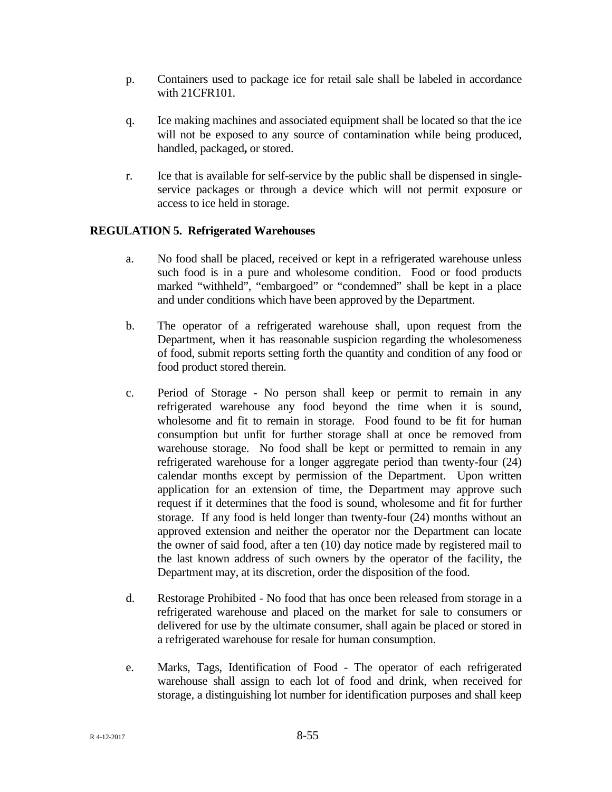- p. Containers used to package ice for retail sale shall be labeled in accordance with 21CFR101.
- q. Ice making machines and associated equipment shall be located so that the ice will not be exposed to any source of contamination while being produced, handled, packaged**,** or stored.
- r. Ice that is available for self-service by the public shall be dispensed in singleservice packages or through a device which will not permit exposure or access to ice held in storage.

# **REGULATION 5. Refrigerated Warehouses**

- a. No food shall be placed, received or kept in a refrigerated warehouse unless such food is in a pure and wholesome condition. Food or food products marked "withheld", "embargoed" or "condemned" shall be kept in a place and under conditions which have been approved by the Department.
- b. The operator of a refrigerated warehouse shall, upon request from the Department, when it has reasonable suspicion regarding the wholesomeness of food, submit reports setting forth the quantity and condition of any food or food product stored therein.
- c. Period of Storage No person shall keep or permit to remain in any refrigerated warehouse any food beyond the time when it is sound, wholesome and fit to remain in storage. Food found to be fit for human consumption but unfit for further storage shall at once be removed from warehouse storage. No food shall be kept or permitted to remain in any refrigerated warehouse for a longer aggregate period than twenty-four (24) calendar months except by permission of the Department. Upon written application for an extension of time, the Department may approve such request if it determines that the food is sound, wholesome and fit for further storage. If any food is held longer than twenty-four (24) months without an approved extension and neither the operator nor the Department can locate the owner of said food, after a ten (10) day notice made by registered mail to the last known address of such owners by the operator of the facility, the Department may, at its discretion, order the disposition of the food.
- d. Restorage Prohibited No food that has once been released from storage in a refrigerated warehouse and placed on the market for sale to consumers or delivered for use by the ultimate consumer, shall again be placed or stored in a refrigerated warehouse for resale for human consumption.
- e. Marks, Tags, Identification of Food The operator of each refrigerated warehouse shall assign to each lot of food and drink, when received for storage, a distinguishing lot number for identification purposes and shall keep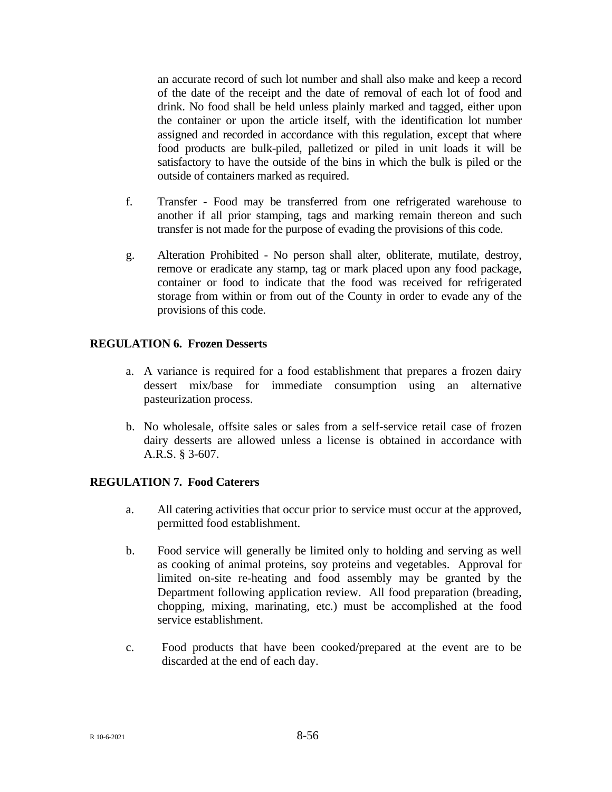an accurate record of such lot number and shall also make and keep a record of the date of the receipt and the date of removal of each lot of food and drink. No food shall be held unless plainly marked and tagged, either upon the container or upon the article itself, with the identification lot number assigned and recorded in accordance with this regulation, except that where food products are bulk-piled, palletized or piled in unit loads it will be satisfactory to have the outside of the bins in which the bulk is piled or the outside of containers marked as required.

- f. Transfer Food may be transferred from one refrigerated warehouse to another if all prior stamping, tags and marking remain thereon and such transfer is not made for the purpose of evading the provisions of this code.
- g. Alteration Prohibited No person shall alter, obliterate, mutilate, destroy, remove or eradicate any stamp, tag or mark placed upon any food package, container or food to indicate that the food was received for refrigerated storage from within or from out of the County in order to evade any of the provisions of this code.

## **REGULATION 6. Frozen Desserts**

- a. A variance is required for a food establishment that prepares a frozen dairy dessert mix/base for immediate consumption using an alternative pasteurization process.
- b. No wholesale, offsite sales or sales from a self-service retail case of frozen dairy desserts are allowed unless a license is obtained in accordance with A.R.S. § 3-607.

## **REGULATION 7. Food Caterers**

- a. All catering activities that occur prior to service must occur at the approved, permitted food establishment.
- b. Food service will generally be limited only to holding and serving as well as cooking of animal proteins, soy proteins and vegetables. Approval for limited on-site re-heating and food assembly may be granted by the Department following application review. All food preparation (breading, chopping, mixing, marinating, etc.) must be accomplished at the food service establishment.
- c. Food products that have been cooked/prepared at the event are to be discarded at the end of each day.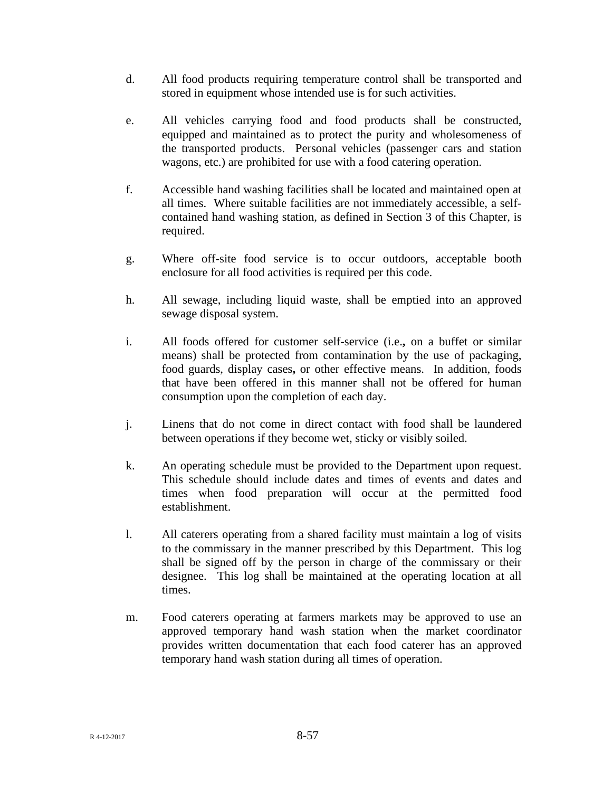- d. All food products requiring temperature control shall be transported and stored in equipment whose intended use is for such activities.
- e. All vehicles carrying food and food products shall be constructed, equipped and maintained as to protect the purity and wholesomeness of the transported products. Personal vehicles (passenger cars and station wagons, etc.) are prohibited for use with a food catering operation.
- f. Accessible hand washing facilities shall be located and maintained open at all times. Where suitable facilities are not immediately accessible, a selfcontained hand washing station, as defined in Section 3 of this Chapter, is required.
- g. Where off-site food service is to occur outdoors, acceptable booth enclosure for all food activities is required per this code.
- h. All sewage, including liquid waste, shall be emptied into an approved sewage disposal system.
- i. All foods offered for customer self-service (i.e.**,** on a buffet or similar means) shall be protected from contamination by the use of packaging, food guards, display cases**,** or other effective means. In addition, foods that have been offered in this manner shall not be offered for human consumption upon the completion of each day.
- j. Linens that do not come in direct contact with food shall be laundered between operations if they become wet, sticky or visibly soiled.
- k. An operating schedule must be provided to the Department upon request. This schedule should include dates and times of events and dates and times when food preparation will occur at the permitted food establishment.
- l. All caterers operating from a shared facility must maintain a log of visits to the commissary in the manner prescribed by this Department. This log shall be signed off by the person in charge of the commissary or their designee. This log shall be maintained at the operating location at all times.
- m. Food caterers operating at farmers markets may be approved to use an approved temporary hand wash station when the market coordinator provides written documentation that each food caterer has an approved temporary hand wash station during all times of operation.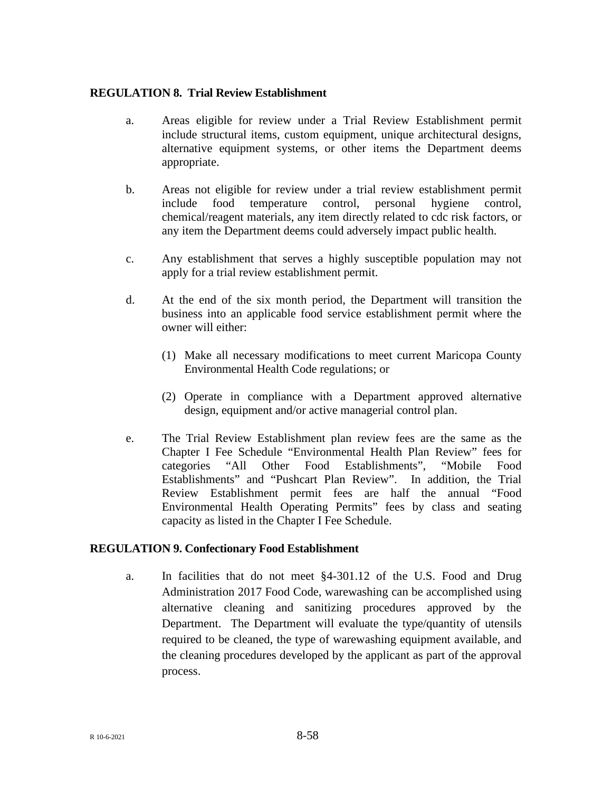## **REGULATION 8. Trial Review Establishment**

- a. Areas eligible for review under a Trial Review Establishment permit include structural items, custom equipment, unique architectural designs, alternative equipment systems, or other items the Department deems appropriate.
- b. Areas not eligible for review under a trial review establishment permit include food temperature control, personal hygiene control, chemical/reagent materials, any item directly related to cdc risk factors, or any item the Department deems could adversely impact public health.
- c. Any establishment that serves a highly susceptible population may not apply for a trial review establishment permit.
- d. At the end of the six month period, the Department will transition the business into an applicable food service establishment permit where the owner will either:
	- (1) Make all necessary modifications to meet current Maricopa County Environmental Health Code regulations; or
	- (2) Operate in compliance with a Department approved alternative design, equipment and/or active managerial control plan.
- e. The Trial Review Establishment plan review fees are the same as the Chapter I Fee Schedule "Environmental Health Plan Review" fees for categories "All Other Food Establishments", "Mobile Food Establishments" and "Pushcart Plan Review". In addition, the Trial Review Establishment permit fees are half the annual "Food Environmental Health Operating Permits" fees by class and seating capacity as listed in the Chapter I Fee Schedule.

## **REGULATION 9. Confectionary Food Establishment**

a. In facilities that do not meet §4-301.12 of the U.S. Food and Drug Administration 2017 Food Code, warewashing can be accomplished using alternative cleaning and sanitizing procedures approved by the Department. The Department will evaluate the type/quantity of utensils required to be cleaned, the type of warewashing equipment available, and the cleaning procedures developed by the applicant as part of the approval process.